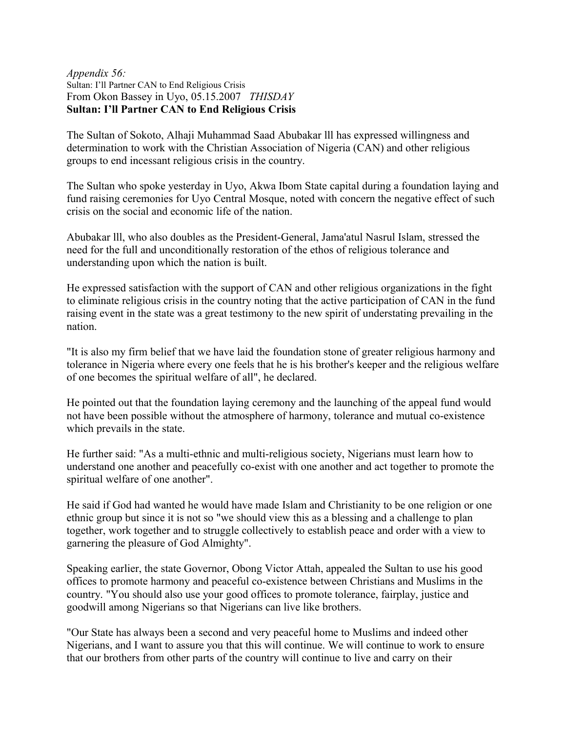## *Appendix 56:* Sultan: I'll Partner CAN to End Religious Crisis From Okon Bassey in Uyo, 05.15.2007 *THISDAY* **Sultan: I'll Partner CAN to End Religious Crisis**

The Sultan of Sokoto, Alhaji Muhammad Saad Abubakar lll has expressed willingness and determination to work with the Christian Association of Nigeria (CAN) and other religious groups to end incessant religious crisis in the country.

The Sultan who spoke yesterday in Uyo, Akwa Ibom State capital during a foundation laying and fund raising ceremonies for Uyo Central Mosque, noted with concern the negative effect of such crisis on the social and economic life of the nation.

Abubakar lll, who also doubles as the President-General, Jama'atul Nasrul Islam, stressed the need for the full and unconditionally restoration of the ethos of religious tolerance and understanding upon which the nation is built.

He expressed satisfaction with the support of CAN and other religious organizations in the fight to eliminate religious crisis in the country noting that the active participation of CAN in the fund raising event in the state was a great testimony to the new spirit of understating prevailing in the nation.

"It is also my firm belief that we have laid the foundation stone of greater religious harmony and tolerance in Nigeria where every one feels that he is his brother's keeper and the religious welfare of one becomes the spiritual welfare of all", he declared.

He pointed out that the foundation laying ceremony and the launching of the appeal fund would not have been possible without the atmosphere of harmony, tolerance and mutual co-existence which prevails in the state.

He further said: "As a multi-ethnic and multi-religious society, Nigerians must learn how to understand one another and peacefully co-exist with one another and act together to promote the spiritual welfare of one another".

He said if God had wanted he would have made Islam and Christianity to be one religion or one ethnic group but since it is not so "we should view this as a blessing and a challenge to plan together, work together and to struggle collectively to establish peace and order with a view to garnering the pleasure of God Almighty".

Speaking earlier, the state Governor, Obong Victor Attah, appealed the Sultan to use his good offices to promote harmony and peaceful co-existence between Christians and Muslims in the country. "You should also use your good offices to promote tolerance, fairplay, justice and goodwill among Nigerians so that Nigerians can live like brothers.

"Our State has always been a second and very peaceful home to Muslims and indeed other Nigerians, and I want to assure you that this will continue. We will continue to work to ensure that our brothers from other parts of the country will continue to live and carry on their